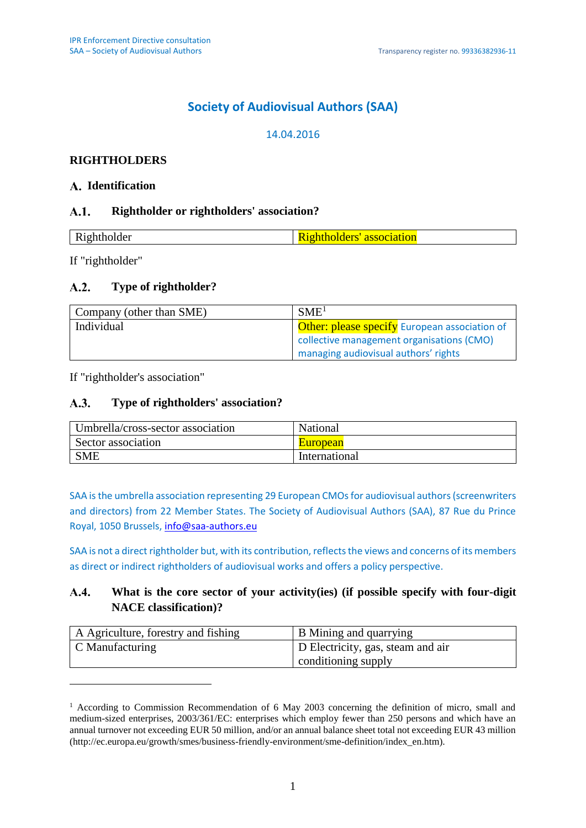# **Society of Audiovisual Authors (SAA)**

# 14.04.2016

# **RIGHTHOLDERS**

## **Identification**

#### $A.1.$ **Rightholder or rightholders' association?**

| <b>.</b> |  |
|----------|--|
|          |  |

If "rightholder"

1

#### $A.2.$ **Type of rightholder?**

| Company (other than SME) | SME <sup>1</sup>                                     |
|--------------------------|------------------------------------------------------|
| Individual               | <b>Other: please specify</b> European association of |
|                          | collective management organisations (CMO)            |
|                          | managing audiovisual authors' rights                 |

If "rightholder's association"

#### $A.3.$ **Type of rightholders' association?**

| Umbrella/cross-sector association | National        |  |
|-----------------------------------|-----------------|--|
| Sector association                | <b>European</b> |  |
| <b>SME</b>                        | International   |  |

SAA is the umbrella association representing 29 European CMOs for audiovisual authors (screenwriters and directors) from 22 Member States. The Society of Audiovisual Authors (SAA), 87 Rue du Prince Royal, 1050 Brussels, [info@saa-authors.eu](mailto:info@saa-authors.eu)

SAA is not a direct rightholder but, with its contribution, reflects the views and concerns of its members as direct or indirect rightholders of audiovisual works and offers a policy perspective.

#### $A.4.$ **What is the core sector of your activity(ies) (if possible specify with four-digit NACE classification)?**

| A Agriculture, forestry and fishing | B Mining and quarrying            |
|-------------------------------------|-----------------------------------|
| $\mid$ C Manufacturing              | D Electricity, gas, steam and air |
|                                     | conditioning supply               |

<sup>&</sup>lt;sup>1</sup> According to Commission Recommendation of 6 May 2003 concerning the definition of micro, small and medium-sized enterprises, 2003/361/EC: enterprises which employ fewer than 250 persons and which have an annual turnover not exceeding EUR 50 million, and/or an annual balance sheet total not exceeding EUR 43 million (http://ec.europa.eu/growth/smes/business-friendly-environment/sme-definition/index\_en.htm).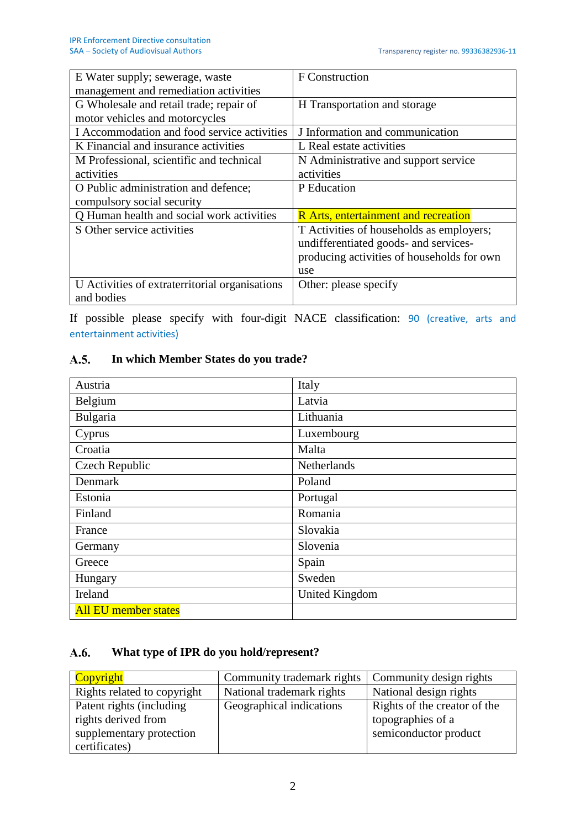| E Water supply; sewerage, waste                | F Construction                              |
|------------------------------------------------|---------------------------------------------|
| management and remediation activities          |                                             |
| G Wholesale and retail trade; repair of        | H Transportation and storage                |
| motor vehicles and motorcycles                 |                                             |
| I Accommodation and food service activities    | J Information and communication             |
| K Financial and insurance activities           | L Real estate activities                    |
| M Professional, scientific and technical       | N Administrative and support service        |
| activities                                     | activities                                  |
| O Public administration and defence;           | P Education                                 |
| compulsory social security                     |                                             |
| Q Human health and social work activities      | <b>R</b> Arts, entertainment and recreation |
| S Other service activities                     | T Activities of households as employers;    |
|                                                | undifferentiated goods- and services-       |
|                                                | producing activities of households for own  |
|                                                | use                                         |
| U Activities of extraterritorial organisations | Other: please specify                       |
| and bodies                                     |                                             |

If possible please specify with four-digit NACE classification: 90 (creative, arts and entertainment activities)

#### **In which Member States do you trade?** A.5.

| Austria                     | Italy          |
|-----------------------------|----------------|
| Belgium                     | Latvia         |
| Bulgaria                    | Lithuania      |
| Cyprus                      | Luxembourg     |
| Croatia                     | Malta          |
| Czech Republic              | Netherlands    |
| Denmark                     | Poland         |
| Estonia                     | Portugal       |
| Finland                     | Romania        |
| France                      | Slovakia       |
| Germany                     | Slovenia       |
| Greece                      | Spain          |
| Hungary                     | Sweden         |
| Ireland                     | United Kingdom |
| <b>All EU member states</b> |                |

#### $A.6.$ **What type of IPR do you hold/represent?**

| Copyright                                                                                    | Community trademark rights | Community design rights                                                    |
|----------------------------------------------------------------------------------------------|----------------------------|----------------------------------------------------------------------------|
| Rights related to copyright                                                                  | National trademark rights  | National design rights                                                     |
| Patent rights (including<br>rights derived from<br>supplementary protection<br>certificates) | Geographical indications   | Rights of the creator of the<br>topographies of a<br>semiconductor product |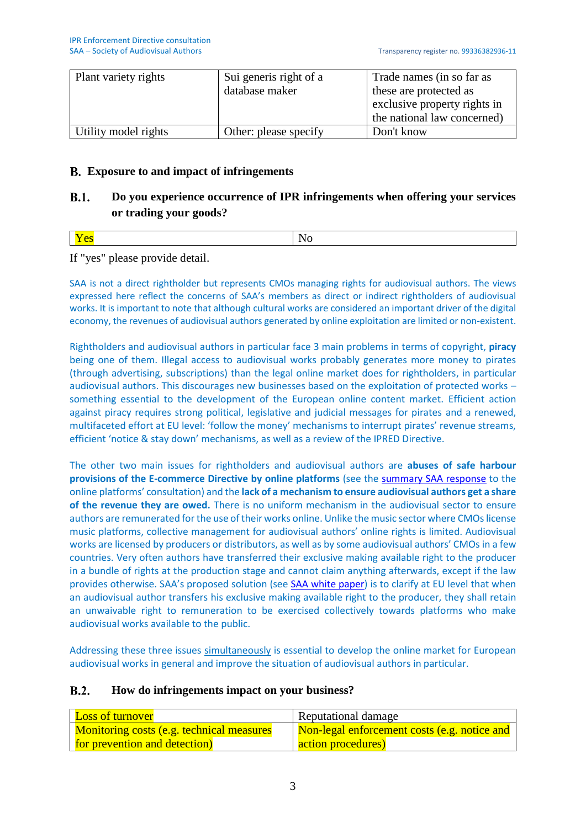| Plant variety rights | Sui generis right of a | Trade names (in so far as    |
|----------------------|------------------------|------------------------------|
|                      | database maker         | these are protected as       |
|                      |                        | exclusive property rights in |
|                      |                        | the national law concerned)  |
| Utility model rights | Other: please specify  | Don't know                   |

# **Exposure to and impact of infringements**

#### $B.1.$ **Do you experience occurrence of IPR infringements when offering your services or trading your goods?**

|--|

If "yes" please provide detail.

SAA is not a direct rightholder but represents CMOs managing rights for audiovisual authors. The views expressed here reflect the concerns of SAA's members as direct or indirect rightholders of audiovisual works. It is important to note that although cultural works are considered an important driver of the digital economy, the revenues of audiovisual authors generated by online exploitation are limited or non-existent.

Rightholders and audiovisual authors in particular face 3 main problems in terms of copyright, **piracy**  being one of them. Illegal access to audiovisual works probably generates more money to pirates (through advertising, subscriptions) than the legal online market does for rightholders, in particular audiovisual authors. This discourages new businesses based on the exploitation of protected works – something essential to the development of the European online content market. Efficient action against piracy requires strong political, legislative and judicial messages for pirates and a renewed, multifaceted effort at EU level: 'follow the money' mechanisms to interrupt pirates' revenue streams, efficient 'notice & stay down' mechanisms, as well as a review of the IPRED Directive.

The other two main issues for rightholders and audiovisual authors are **abuses of safe harbour provisions of the E-commerce Directive by online platforms** (see the [summary SAA response](http://www.saa-authors.eu/dbfiles/mfile/8700/8715/SAA_Position_Paper_EC_Platforms_consultation_Feb16.pdf) to the online platforms' consultation) and the **lack of a mechanism to ensure audiovisual authors get a share of the revenue they are owed.** There is no uniform mechanism in the audiovisual sector to ensure authors are remunerated for the use of their works online. Unlike the music sector where CMOs license music platforms, collective management for audiovisual authors' online rights is limited. Audiovisual works are licensed by producers or distributors, as well as by some audiovisual authors' CMOs in a few countries. Very often authors have transferred their exclusive making available right to the producer in a bundle of rights at the production stage and cannot claim anything afterwards, except if the law provides otherwise. SAA's proposed solution (see [SAA white paper\)](http://www.saa-authors.eu/en/news/168/SAA-White-Paper-download) is to clarify at EU level that when an audiovisual author transfers his exclusive making available right to the producer, they shall retain an unwaivable right to remuneration to be exercised collectively towards platforms who make audiovisual works available to the public.

Addressing these three issues simultaneously is essential to develop the online market for European audiovisual works in general and improve the situation of audiovisual authors in particular.

#### $B.2.$ **How do infringements impact on your business?**

| <b>Loss of turnover</b>                          | Reputational damage                          |
|--------------------------------------------------|----------------------------------------------|
| <b>Monitoring costs (e.g. technical measures</b> | Non-legal enforcement costs (e.g. notice and |
| for prevention and detection)                    | action procedures)                           |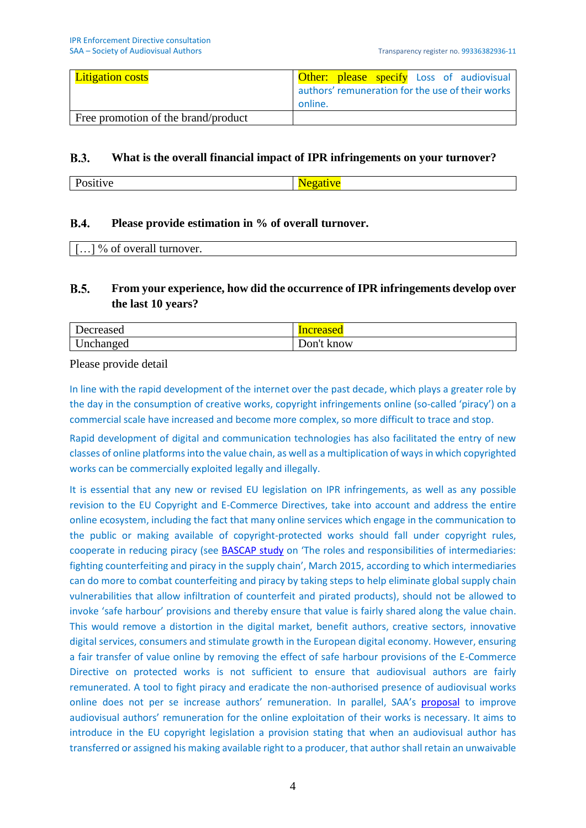| <b>Litigation costs</b>             |         |  |  | <b>Other:</b> please specify Loss of audiovisual |
|-------------------------------------|---------|--|--|--------------------------------------------------|
|                                     |         |  |  | authors' remuneration for the use of their works |
|                                     | online. |  |  |                                                  |
| Free promotion of the brand/product |         |  |  |                                                  |

#### **B.3. What is the overall financial impact of IPR infringements on your turnover?**

| ' V (<br>- |
|------------|
|------------|

#### $R.4.$ **Please provide estimation in % of overall turnover.**

|--|

#### $B.5.$ **From your experience, how did the occurrence of IPR infringements develop over the last 10 years?**

| Jecreased | mereased   |
|-----------|------------|
| Unchanged | Don't know |

Please provide detail

In line with the rapid development of the internet over the past decade, which plays a greater role by the day in the consumption of creative works, copyright infringements online (so-called 'piracy') on a commercial scale have increased and become more complex, so more difficult to trace and stop.

Rapid development of digital and communication technologies has also facilitated the entry of new classes of online platforms into the value chain, as well as a multiplication of ways in which copyrighted works can be commercially exploited legally and illegally.

It is essential that any new or revised EU legislation on IPR infringements, as well as any possible revision to the EU Copyright and E-Commerce Directives, take into account and address the entire online ecosystem, including the fact that many online services which engage in the communication to the public or making available of copyright-protected works should fall under copyright rules, cooperate in reducing piracy (see **BASCAP study** on 'The roles and responsibilities of intermediaries: fighting counterfeiting and piracy in the supply chain', March 2015, according to which intermediaries can do more to combat counterfeiting and piracy by taking steps to help eliminate global supply chain vulnerabilities that allow infiltration of counterfeit and pirated products), should not be allowed to invoke 'safe harbour' provisions and thereby ensure that value is fairly shared along the value chain. This would remove a distortion in the digital market, benefit authors, creative sectors, innovative digital services, consumers and stimulate growth in the European digital economy. However, ensuring a fair transfer of value online by removing the effect of safe harbour provisions of the E-Commerce Directive on protected works is not sufficient to ensure that audiovisual authors are fairly remunerated. A tool to fight piracy and eradicate the non-authorised presence of audiovisual works online does not per se increase authors' remuneration. In parallel, SAA's [proposal](http://www.saa-authors.eu/dbfiles/mfile/7500/7566/SAA_White_Paper_2015.pdf) to improve audiovisual authors' remuneration for the online exploitation of their works is necessary. It aims to introduce in the EU copyright legislation a provision stating that when an audiovisual author has transferred or assigned his making available right to a producer, that author shall retain an unwaivable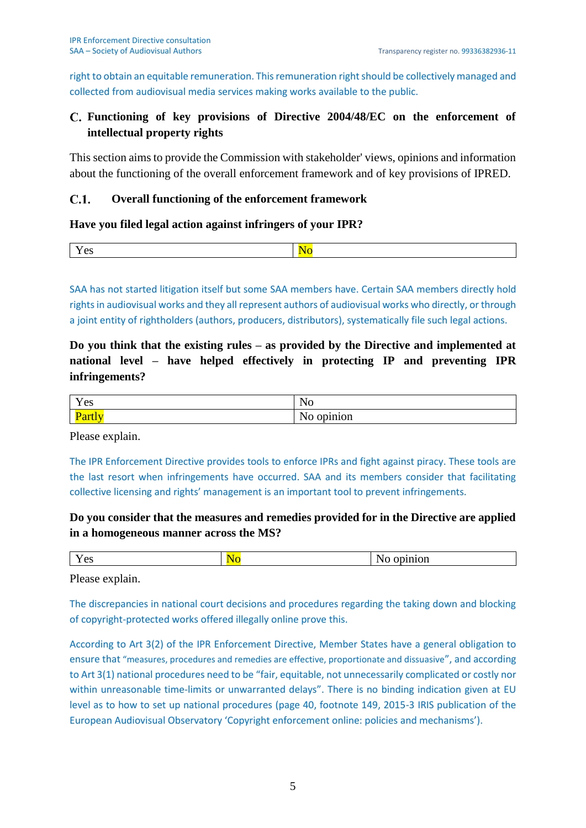right to obtain an equitable remuneration. This remuneration right should be collectively managed and collected from audiovisual media services making works available to the public.

# **Functioning of key provisions of Directive 2004/48/EC on the enforcement of intellectual property rights**

This section aims to provide the Commission with stakeholder' views, opinions and information about the functioning of the overall enforcement framework and of key provisions of IPRED.

#### $C.1.$ **Overall functioning of the enforcement framework**

### **Have you filed legal action against infringers of your IPR?**

SAA has not started litigation itself but some SAA members have. Certain SAA members directly hold rights in audiovisual works and they all represent authors of audiovisual works who directly, or through a joint entity of rightholders (authors, producers, distributors), systematically file such legal actions.

**Do you think that the existing rules – as provided by the Directive and implemented at national level – have helped effectively in protecting IP and preventing IPR infringements?**

| $\mathbf{x}$<br>~^<br>$\mathbf{r}$ co | N<br>∼                    |
|---------------------------------------|---------------------------|
| <u>ai li</u><br>.                     | - -<br>$\cdots$<br>л.<br> |

Please explain.

The IPR Enforcement Directive provides tools to enforce IPRs and fight against piracy. These tools are the last resort when infringements have occurred. SAA and its members consider that facilitating collective licensing and rights' management is an important tool to prevent infringements.

# **Do you consider that the measures and remedies provided for in the Directive are applied in a homogeneous manner across the MS?**

| $-$ | $\sim$ $\sim$ |
|-----|---------------|
| ັ   | UI.           |
| . . |               |

Please explain.

The discrepancies in national court decisions and procedures regarding the taking down and blocking of copyright-protected works offered illegally online prove this.

According to Art 3(2) of the IPR Enforcement Directive, Member States have a general obligation to ensure that "measures, procedures and remedies are effective, proportionate and dissuasive", and according to Art 3(1) national procedures need to be "fair, equitable, not unnecessarily complicated or costly nor within unreasonable time-limits or unwarranted delays". There is no binding indication given at EU level as to how to set up national procedures (page 40, footnote 149, 2015-3 IRIS publication of the European Audiovisual Observatory 'Copyright enforcement online: policies and mechanisms').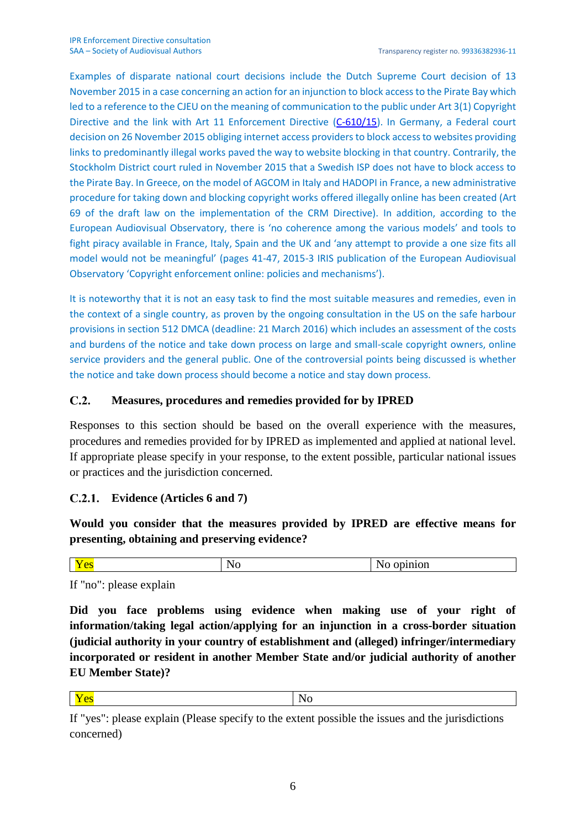Examples of disparate national court decisions include the Dutch Supreme Court decision of 13 November 2015 in a case concerning an action for an injunction to block access to the Pirate Bay which led to a reference to the CJEU on the meaning of communication to the public under Art 3(1) Copyright Directive and the link with Art 11 Enforcement Directive [\(C-610/15\)](http://curia.europa.eu/juris/document/document.jsf?text=&docid=174196&pageIndex=0&doclang=EN&mode=lst&dir=&occ=first&part=1&cid=389400). In Germany, a Federal court decision on 26 November 2015 obliging internet access providers to block access to websites providing links to predominantly illegal works paved the way to website blocking in that country. Contrarily, the Stockholm District court ruled in November 2015 that a Swedish ISP does not have to block access to the Pirate Bay. In Greece, on the model of AGCOM in Italy and HADOPI in France, a new administrative procedure for taking down and blocking copyright works offered illegally online has been created (Art 69 of the draft law on the implementation of the CRM Directive). In addition, according to the European Audiovisual Observatory, there is 'no coherence among the various models' and tools to fight piracy available in France, Italy, Spain and the UK and 'any attempt to provide a one size fits all model would not be meaningful' (pages 41-47, 2015-3 IRIS publication of the European Audiovisual Observatory 'Copyright enforcement online: policies and mechanisms').

It is noteworthy that it is not an easy task to find the most suitable measures and remedies, even in the context of a single country, as proven by the ongoing consultation in the US on the safe harbour provisions in section 512 DMCA (deadline: 21 March 2016) which includes an assessment of the costs and burdens of the notice and take down process on large and small-scale copyright owners, online service providers and the general public. One of the controversial points being discussed is whether the notice and take down process should become a notice and stay down process.

#### $C.2.$ **Measures, procedures and remedies provided for by IPRED**

Responses to this section should be based on the overall experience with the measures, procedures and remedies provided for by IPRED as implemented and applied at national level. If appropriate please specify in your response, to the extent possible, particular national issues or practices and the jurisdiction concerned.

# **Evidence (Articles 6 and 7)**

**Would you consider that the measures provided by IPRED are effective means for presenting, obtaining and preserving evidence?** 

| - |  |
|---|--|
|   |  |

If "no": please explain

**Did you face problems using evidence when making use of your right of information/taking legal action/applying for an injunction in a cross-border situation (judicial authority in your country of establishment and (alleged) infringer/intermediary incorporated or resident in another Member State and/or judicial authority of another EU Member State)?**

**Yes** No

If "yes": please explain (Please specify to the extent possible the issues and the jurisdictions concerned)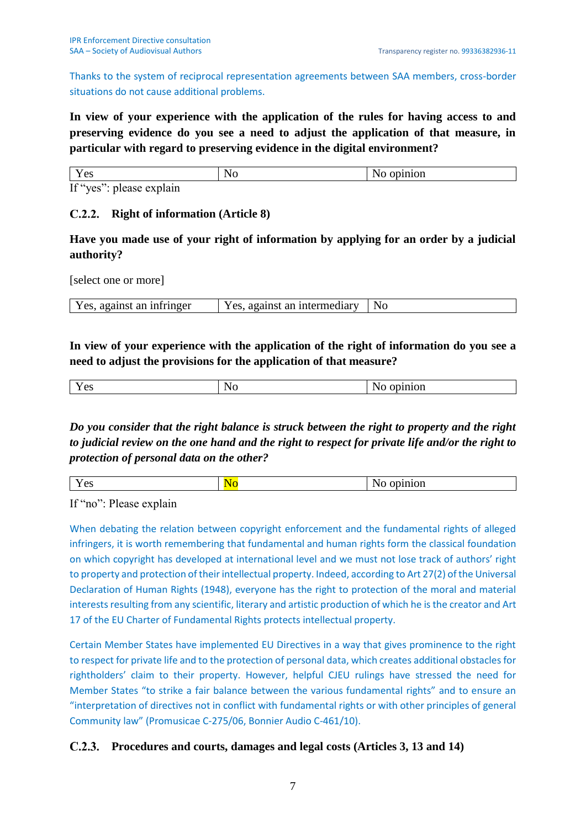Thanks to the system of reciprocal representation agreements between SAA members, cross-border situations do not cause additional problems.

**In view of your experience with the application of the rules for having access to and preserving evidence do you see a need to adjust the application of that measure, in particular with regard to preserving evidence in the digital environment?**

| Y es                          | 'NC | opinion |
|-------------------------------|-----|---------|
| If "yes"<br>please<br>explain |     |         |

# **Right of information (Article 8)**

**Have you made use of your right of information by applying for an order by a judicial authority?**

[select one or more]

| Yes, against an infringer<br>Yes, against an intermediary | - No |
|-----------------------------------------------------------|------|
|-----------------------------------------------------------|------|

# **In view of your experience with the application of the right of information do you see a need to adjust the provisions for the application of that measure?**

| $ -$<br>$\alpha$<br><b>L</b> UD | N <sub>0</sub> | inion<br>◥<br>.<br>$\overline{\phantom{a}}$ |
|---------------------------------|----------------|---------------------------------------------|

*Do you consider that the right balance is struck between the right to property and the right to judicial review on the one hand and the right to respect for private life and/or the right to protection of personal data on the other?*

| $\sim$ |  |
|--------|--|
|        |  |
|        |  |
|        |  |

If "no": Please explain

When debating the relation between copyright enforcement and the fundamental rights of alleged infringers, it is worth remembering that fundamental and human rights form the classical foundation on which copyright has developed at international level and we must not lose track of authors' right to property and protection of their intellectual property. Indeed, according to Art 27(2) of the Universal Declaration of Human Rights (1948), everyone has the right to protection of the moral and material interests resulting from any scientific, literary and artistic production of which he is the creator and Art 17 of the EU Charter of Fundamental Rights protects intellectual property.

Certain Member States have implemented EU Directives in a way that gives prominence to the right to respect for private life and to the protection of personal data, which creates additional obstacles for rightholders' claim to their property. However, helpful CJEU rulings have stressed the need for Member States "to strike a fair balance between the various fundamental rights" and to ensure an "interpretation of directives not in conflict with fundamental rights or with other principles of general Community law" (Promusicae C-275/06, Bonnier Audio C-461/10).

# **Procedures and courts, damages and legal costs (Articles 3, 13 and 14)**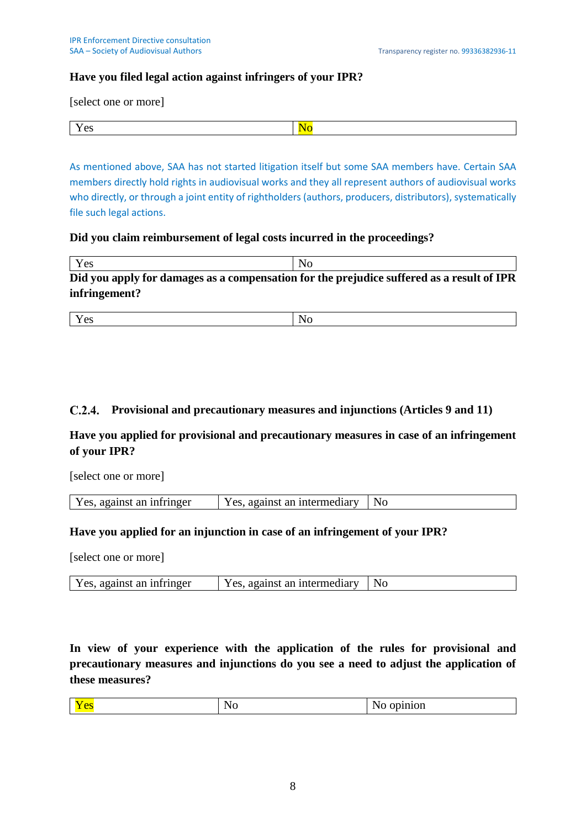## **Have you filed legal action against infringers of your IPR?**

[select one or more]

As mentioned above, SAA has not started litigation itself but some SAA members have. Certain SAA members directly hold rights in audiovisual works and they all represent authors of audiovisual works who directly, or through a joint entity of rightholders (authors, producers, distributors), systematically file such legal actions.

#### **Did you claim reimbursement of legal costs incurred in the proceedings?**

| Yes                                                                                       | N <sub>0</sub> |  |
|-------------------------------------------------------------------------------------------|----------------|--|
| Did you apply for damages as a compensation for the prejudice suffered as a result of IPR |                |  |
| infringement?                                                                             |                |  |

| $ -$   | . . |
|--------|-----|
| $\sim$ |     |

# **Provisional and precautionary measures and injunctions (Articles 9 and 11)**

**Have you applied for provisional and precautionary measures in case of an infringement of your IPR?**

[select one or more]

| $Y_{\text{PS}}$<br>an intermediary<br>-infringer<br>against<br>against<br>Y es.<br>-an a | No |
|------------------------------------------------------------------------------------------|----|
|------------------------------------------------------------------------------------------|----|

### **Have you applied for an injunction in case of an infringement of your IPR?**

[select one or more]

| Yes, against an infringer<br>Yes, against an intermediary   No |
|----------------------------------------------------------------|
|----------------------------------------------------------------|

**In view of your experience with the application of the rules for provisional and precautionary measures and injunctions do you see a need to adjust the application of these measures?**

|--|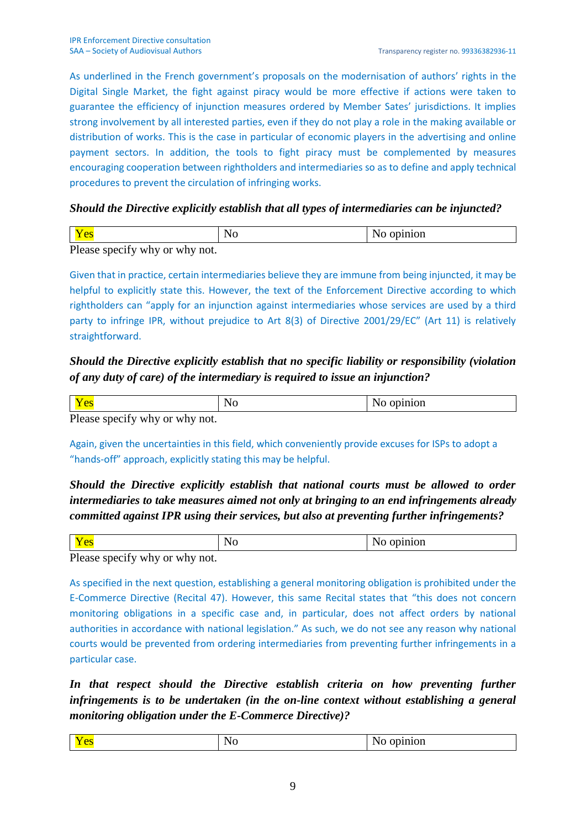As underlined in the French government's proposals on the modernisation of authors' rights in the Digital Single Market, the fight against piracy would be more effective if actions were taken to guarantee the efficiency of injunction measures ordered by Member Sates' jurisdictions. It implies strong involvement by all interested parties, even if they do not play a role in the making available or distribution of works. This is the case in particular of economic players in the advertising and online payment sectors. In addition, the tools to fight piracy must be complemented by measures encouraging cooperation between rightholders and intermediaries so as to define and apply technical procedures to prevent the circulation of infringing works.

## *Should the Directive explicitly establish that all types of intermediaries can be injuncted?*

| D. | $\sim$ |  |  |  |
|----|--------|--|--|--|

Please specify why or why not.

Given that in practice, certain intermediaries believe they are immune from being injuncted, it may be helpful to explicitly state this. However, the text of the Enforcement Directive according to which rightholders can "apply for an injunction against intermediaries whose services are used by a third party to infringe IPR, without prejudice to Art 8(3) of Directive 2001/29/EC" (Art 11) is relatively straightforward.

# *Should the Directive explicitly establish that no specific liability or responsibility (violation of any duty of care) of the intermediary is required to issue an injunction?*

|                                                                   | . . |  |  |
|-------------------------------------------------------------------|-----|--|--|
| $\mathbf{D1}$ $\mathbf{C}$ $\mathbf{1}$ $\mathbf{1}$ $\mathbf{1}$ |     |  |  |

Please specify why or why not.

Again, given the uncertainties in this field, which conveniently provide excuses for ISPs to adopt a "hands-off" approach, explicitly stating this may be helpful.

# *Should the Directive explicitly establish that national courts must be allowed to order intermediaries to take measures aimed not only at bringing to an end infringements already committed against IPR using their services, but also at preventing further infringements?*

| $ -$<br>$\sim$ |  |
|----------------|--|

Please specify why or why not.

As specified in the next question, establishing a general monitoring obligation is prohibited under the E-Commerce Directive (Recital 47). However, this same Recital states that "this does not concern monitoring obligations in a specific case and, in particular, does not affect orders by national authorities in accordance with national legislation." As such, we do not see any reason why national courts would be prevented from ordering intermediaries from preventing further infringements in a particular case.

In that respect should the Directive establish criteria on how preventing further *infringements is to be undertaken (in the on-line context without establishing a general monitoring obligation under the E-Commerce Directive)?*

|--|--|--|--|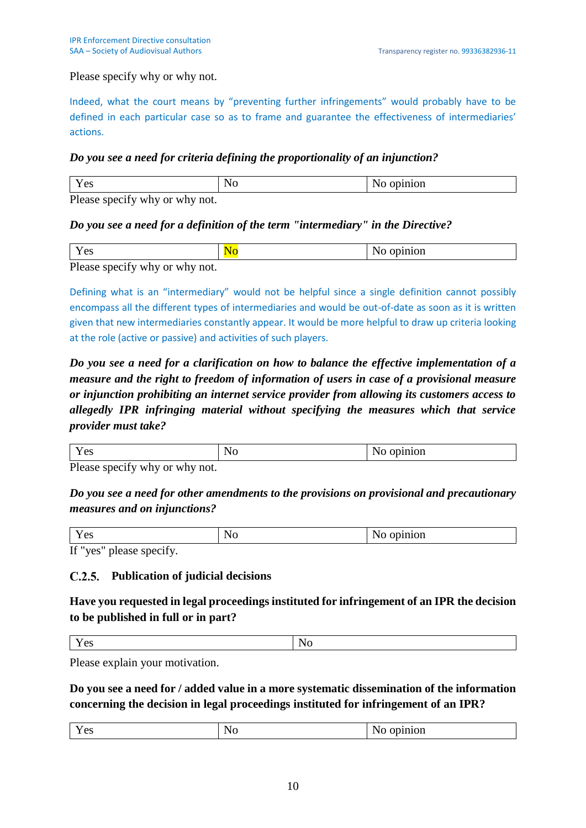Please specify why or why not.

Indeed, what the court means by "preventing further infringements" would probably have to be defined in each particular case so as to frame and guarantee the effectiveness of intermediaries' actions.

# *Do you see a need for criteria defining the proportionality of an injunction?*

|                                                                        | w |  |  |
|------------------------------------------------------------------------|---|--|--|
| $D0.000$ ano $\alpha$ <sup>2</sup> $\beta$ <sup>2</sup> why an why not |   |  |  |

Please specify why or why not.

# *Do you see a need for a definition of the term "intermediary" in the Directive?*

| $\sim$                                                                                                  |  |  |  |  |
|---------------------------------------------------------------------------------------------------------|--|--|--|--|
| $\mathbf{D1}$ and $\mathbf{L2}$ and $\mathbf{L3}$ and $\mathbf{L4}$ and $\mathbf{L5}$ and $\mathbf{L6}$ |  |  |  |  |

Please specify why or why not.

Defining what is an "intermediary" would not be helpful since a single definition cannot possibly encompass all the different types of intermediaries and would be out-of-date as soon as it is written given that new intermediaries constantly appear. It would be more helpful to draw up criteria looking at the role (active or passive) and activities of such players.

*Do you see a need for a clarification on how to balance the effective implementation of a measure and the right to freedom of information of users in case of a provisional measure or injunction prohibiting an internet service provider from allowing its customers access to allegedly IPR infringing material without specifying the measures which that service provider must take?*

| ັ              | ◥◡ |  |  |
|----------------|----|--|--|
| D <sub>l</sub> |    |  |  |

Please specify why or why not.

*Do you see a need for other amendments to the provisions on provisional and precautionary measures and on injunctions?*

| $\sim$ $\sim$<br>Δ٢<br>1 <sub>0</sub> | `<br>1 I V | $\cdots$<br>uol. |
|---------------------------------------|------------|------------------|
| If'<br>$T^{\alpha}$<br>nlease snecity |            |                  |

If "yes" please specify.

# **Publication of judicial decisions**

**Have you requested in legal proceedings instituted for infringement of an IPR the decision to be published in full or in part?**

Yes No

Please explain your motivation.

**Do you see a need for / added value in a more systematic dissemination of the information concerning the decision in legal proceedings instituted for infringement of an IPR?**

| $\overline{\phantom{a}}$<br>ັ |  |
|-------------------------------|--|
|                               |  |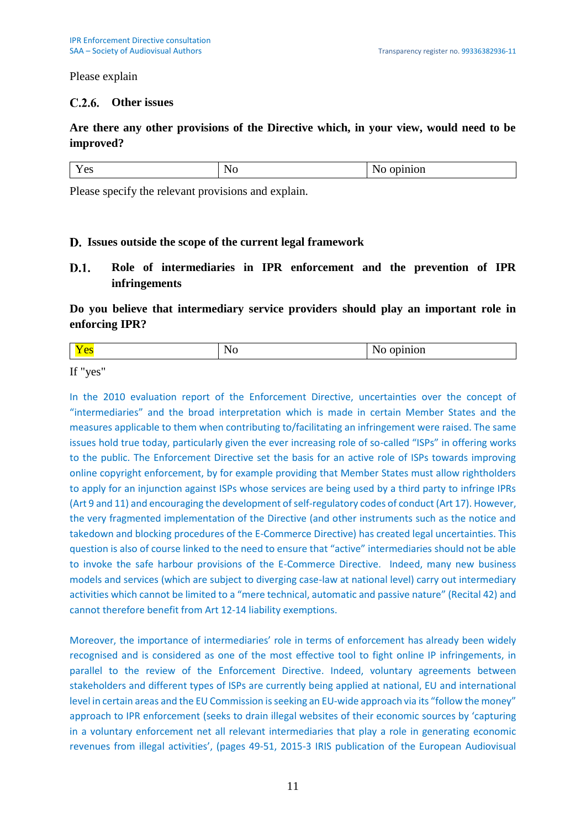Please explain

# **Other issues**

# **Are there any other provisions of the Directive which, in your view, would need to be improved?**

|--|

Please specify the relevant provisions and explain.

### **Issues outside the scope of the current legal framework**

 $D.1.$ **Role of intermediaries in IPR enforcement and the prevention of IPR infringements**

**Do you believe that intermediary service providers should play an important role in enforcing IPR?**

| . . |  |
|-----|--|

If "yes"

In the 2010 evaluation report of the Enforcement Directive, uncertainties over the concept of "intermediaries" and the broad interpretation which is made in certain Member States and the measures applicable to them when contributing to/facilitating an infringement were raised. The same issues hold true today, particularly given the ever increasing role of so-called "ISPs" in offering works to the public. The Enforcement Directive set the basis for an active role of ISPs towards improving online copyright enforcement, by for example providing that Member States must allow rightholders to apply for an injunction against ISPs whose services are being used by a third party to infringe IPRs (Art 9 and 11) and encouraging the development of self-regulatory codes of conduct (Art 17). However, the very fragmented implementation of the Directive (and other instruments such as the notice and takedown and blocking procedures of the E-Commerce Directive) has created legal uncertainties. This question is also of course linked to the need to ensure that "active" intermediaries should not be able to invoke the safe harbour provisions of the E-Commerce Directive. Indeed, many new business models and services (which are subject to diverging case-law at national level) carry out intermediary activities which cannot be limited to a "mere technical, automatic and passive nature" (Recital 42) and cannot therefore benefit from Art 12-14 liability exemptions.

Moreover, the importance of intermediaries' role in terms of enforcement has already been widely recognised and is considered as one of the most effective tool to fight online IP infringements, in parallel to the review of the Enforcement Directive. Indeed, voluntary agreements between stakeholders and different types of ISPs are currently being applied at national, EU and international level in certain areas and the EU Commission is seeking an EU-wide approach via its "follow the money" approach to IPR enforcement (seeks to drain illegal websites of their economic sources by 'capturing in a voluntary enforcement net all relevant intermediaries that play a role in generating economic revenues from illegal activities', (pages 49-51, 2015-3 IRIS publication of the European Audiovisual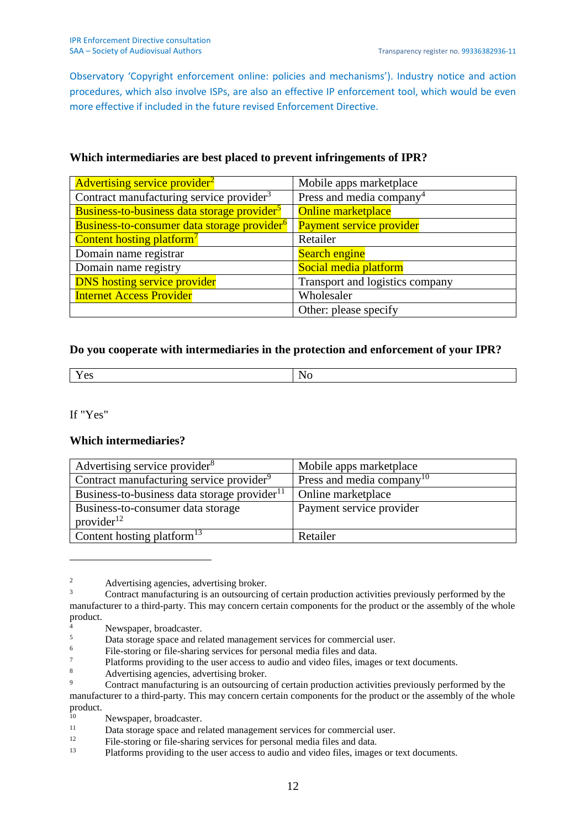Observatory 'Copyright enforcement online: policies and mechanisms'). Industry notice and action procedures, which also involve ISPs, are also an effective IP enforcement tool, which would be even more effective if included in the future revised Enforcement Directive.

| Advertising service provider <sup>2</sup>                     | Mobile apps marketplace         |
|---------------------------------------------------------------|---------------------------------|
| Contract manufacturing service provider <sup>3</sup>          | Press and media company         |
| <b>Business-to-business data storage provider<sup>5</sup></b> | <b>Online marketplace</b>       |
| Business-to-consumer data storage provider <sup>6</sup>       | Payment service provider        |
| <b>Content hosting platform<sup>7</sup></b>                   | Retailer                        |
| Domain name registrar                                         | <b>Search engine</b>            |
| Domain name registry                                          | Social media platform           |
| <b>DNS</b> hosting service provider                           | Transport and logistics company |
| <b>Internet Access Provider</b>                               | Wholesaler                      |
|                                                               | Other: please specify           |

## **Which intermediaries are best placed to prevent infringements of IPR?**

## **Do you cooperate with intermediaries in the protection and enforcement of your IPR?**

| $\sim$ |  |
|--------|--|
|        |  |

If "Yes"

1

### **Which intermediaries?**

| Advertising service provider <sup>8</sup>                | Mobile apps marketplace               |
|----------------------------------------------------------|---------------------------------------|
| Contract manufacturing service provider <sup>9</sup>     | Press and media company <sup>10</sup> |
| Business-to-business data storage provider <sup>11</sup> | Online marketplace                    |
| Business-to-consumer data storage                        | Payment service provider              |
| provider $^{12}$                                         |                                       |
| Content hosting platform <sup>13</sup>                   | Retailer                              |

<sup>&</sup>lt;sup>2</sup> Advertising agencies, advertising broker.

<sup>&</sup>lt;sup>3</sup> Contract manufacturing is an outsourcing of certain production activities previously performed by the manufacturer to a third-party. This may concern certain components for the product or the assembly of the whole product.

 $^{4}$  Newspaper, broadcaster.

 $5$  Data storage space and related management services for commercial user.

 $\frac{6}{7}$  File-storing or file-sharing services for personal media files and data.

 $\frac{7}{8}$  Platforms providing to the user access to audio and video files, images or text documents.

<sup>&</sup>lt;sup>8</sup> Advertising agencies, advertising broker.

Contract manufacturing is an outsourcing of certain production activities previously performed by the manufacturer to a third-party. This may concern certain components for the product or the assembly of the whole product.

<sup>&</sup>lt;sup>10</sup> Newspaper, broadcaster.

 $11$  Data storage space and related management services for commercial user.

 $12$  File-storing or file-sharing services for personal media files and data.<br>Platforms providing to the user access to audio and video files, image

Platforms providing to the user access to audio and video files, images or text documents.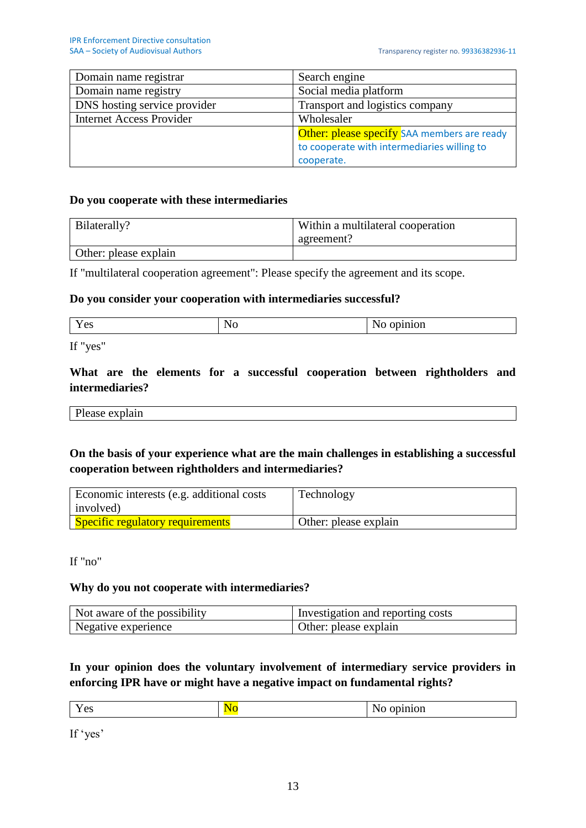| Domain name registrar           | Search engine                               |
|---------------------------------|---------------------------------------------|
| Domain name registry            | Social media platform                       |
| DNS hosting service provider    | Transport and logistics company             |
| <b>Internet Access Provider</b> | Wholesaler                                  |
|                                 | Other: please specify SAA members are ready |
|                                 | to cooperate with intermediaries willing to |
|                                 | cooperate.                                  |

## **Do you cooperate with these intermediaries**

| Bilaterally?          | Within a multilateral cooperation |
|-----------------------|-----------------------------------|
|                       | agreement?                        |
| Other: please explain |                                   |

If "multilateral cooperation agreement": Please specify the agreement and its scope.

#### **Do you consider your cooperation with intermediaries successful?**

| $\overline{\phantom{0}}$ | w      |  |
|--------------------------|--------|--|
| ັ                        | $\sim$ |  |
|                          |        |  |

If "yes"

# **What are the elements for a successful cooperation between rightholders and intermediaries?**

Please explain

# **On the basis of your experience what are the main challenges in establishing a successful cooperation between rightholders and intermediaries?**

| Economic interests (e.g. additional costs)<br>involved) | Technology            |
|---------------------------------------------------------|-----------------------|
| <b>Specific regulatory requirements</b>                 | Other: please explain |

If "no"

### **Why do you not cooperate with intermediaries?**

| Not aware of the possibility | Investigation and reporting costs |
|------------------------------|-----------------------------------|
| Negative experience          | Other: please explain             |

# **In your opinion does the voluntary involvement of intermediary service providers in enforcing IPR have or might have a negative impact on fundamental rights?**

| $ -$<br>opinion<br><b>NO</b><br>Nε<br>Y es<br>1 C <sub>2</sub><br>. |  |
|---------------------------------------------------------------------|--|
|---------------------------------------------------------------------|--|

If 'yes'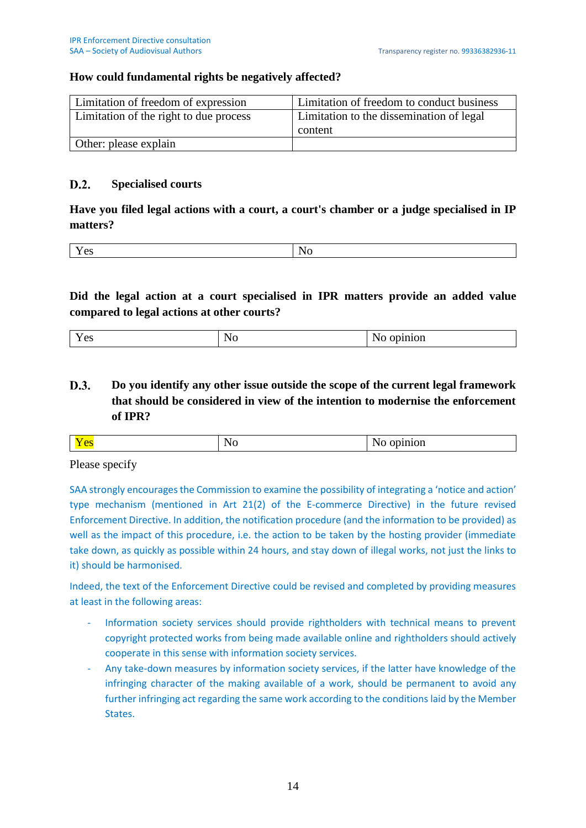# **How could fundamental rights be negatively affected?**

| Limitation of freedom of expression    | Limitation of freedom to conduct business |
|----------------------------------------|-------------------------------------------|
| Limitation of the right to due process | Limitation to the dissemination of legal  |
|                                        | content                                   |
| Other: please explain                  |                                           |

#### $D.2.$ **Specialised courts**

**Have you filed legal actions with a court, a court's chamber or a judge specialised in IP matters?**

| - - |  |
|-----|--|

**Did the legal action at a court specialised in IPR matters provide an added value compared to legal actions at other courts?**

|--|

D.3. **Do you identify any other issue outside the scope of the current legal framework that should be considered in view of the intention to modernise the enforcement of IPR?**

|--|

Please specify

SAA strongly encourages the Commission to examine the possibility of integrating a 'notice and action' type mechanism (mentioned in Art 21(2) of the E-commerce Directive) in the future revised Enforcement Directive. In addition, the notification procedure (and the information to be provided) as well as the impact of this procedure, i.e. the action to be taken by the hosting provider (immediate take down, as quickly as possible within 24 hours, and stay down of illegal works, not just the links to it) should be harmonised.

Indeed, the text of the Enforcement Directive could be revised and completed by providing measures at least in the following areas:

- Information society services should provide rightholders with technical means to prevent copyright protected works from being made available online and rightholders should actively cooperate in this sense with information society services.
- Any take-down measures by information society services, if the latter have knowledge of the infringing character of the making available of a work, should be permanent to avoid any further infringing act regarding the same work according to the conditions laid by the Member States.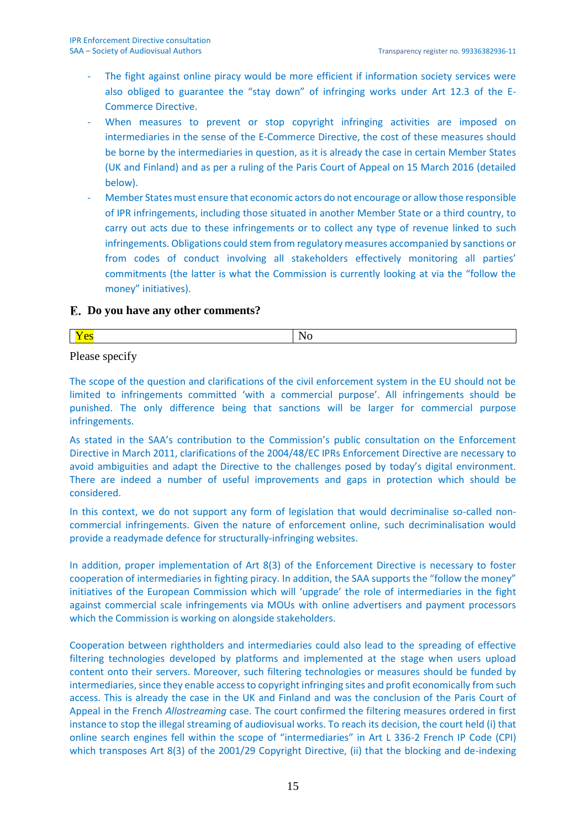- The fight against online piracy would be more efficient if information society services were also obliged to guarantee the "stay down" of infringing works under Art 12.3 of the E-Commerce Directive.
- When measures to prevent or stop copyright infringing activities are imposed on intermediaries in the sense of the E-Commerce Directive, the cost of these measures should be borne by the intermediaries in question, as it is already the case in certain Member States (UK and Finland) and as per a ruling of the Paris Court of Appeal on 15 March 2016 (detailed below).
- Member States must ensure that economic actors do not encourage or allow those responsible of IPR infringements, including those situated in another Member State or a third country, to carry out acts due to these infringements or to collect any type of revenue linked to such infringements. Obligations could stem from regulatory measures accompanied by sanctions or from codes of conduct involving all stakeholders effectively monitoring all parties' commitments (the latter is what the Commission is currently looking at via the "follow the money" initiatives).

### **Do you have any other comments?**

Please specify

The scope of the question and clarifications of the civil enforcement system in the EU should not be limited to infringements committed 'with a commercial purpose'. All infringements should be punished. The only difference being that sanctions will be larger for commercial purpose infringements.

As stated in the SAA's contribution to the Commission's public consultation on the Enforcement Directive in March 2011, clarifications of the 2004/48/EC IPRs Enforcement Directive are necessary to avoid ambiguities and adapt the Directive to the challenges posed by today's digital environment. There are indeed a number of useful improvements and gaps in protection which should be considered.

In this context, we do not support any form of legislation that would decriminalise so-called noncommercial infringements. Given the nature of enforcement online, such decriminalisation would provide a readymade defence for structurally-infringing websites.

In addition, proper implementation of Art 8(3) of the Enforcement Directive is necessary to foster cooperation of intermediaries in fighting piracy. In addition, the SAA supports the "follow the money" initiatives of the European Commission which will 'upgrade' the role of intermediaries in the fight against commercial scale infringements via MOUs with online advertisers and payment processors which the Commission is working on alongside stakeholders.

Cooperation between rightholders and intermediaries could also lead to the spreading of effective filtering technologies developed by platforms and implemented at the stage when users upload content onto their servers. Moreover, such filtering technologies or measures should be funded by intermediaries, since they enable access to copyright infringing sites and profit economically from such access. This is already the case in the UK and Finland and was the conclusion of the Paris Court of Appeal in the French *Allostreaming* case. The court confirmed the filtering measures ordered in first instance to stop the illegal streaming of audiovisual works. To reach its decision, the court held (i) that online search engines fell within the scope of "intermediaries" in Art L 336-2 French IP Code (CPI) which transposes Art 8(3) of the 2001/29 Copyright Directive, (ii) that the blocking and de-indexing